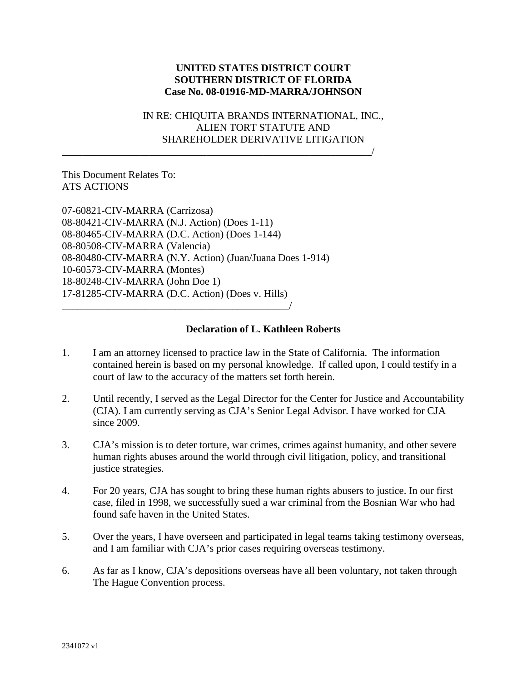## **UNITED STATES DISTRICT COURT SOUTHERN DISTRICT OF FLORIDA Case No. 08-01916-MD-MARRA/JOHNSON**

## IN RE: CHIQUITA BRANDS INTERNATIONAL, INC., ALIEN TORT STATUTE AND SHAREHOLDER DERIVATIVE LITIGATION

## This Document Relates To: ATS ACTIONS

07-60821-CIV-MARRA (Carrizosa) 08-80421-CIV-MARRA (N.J. Action) (Does 1-11) 08-80465-CIV-MARRA (D.C. Action) (Does 1-144) 08-80508-CIV-MARRA (Valencia) 08-80480-CIV-MARRA (N.Y. Action) (Juan/Juana Does 1-914) 10-60573-CIV-MARRA (Montes) 18-80248-CIV-MARRA (John Doe 1) 17-81285-CIV-MARRA (D.C. Action) (Does v. Hills)  $\overline{\phantom{a}}$ 

\_\_\_\_\_\_\_\_\_\_\_\_\_\_\_\_\_\_\_\_\_\_\_\_\_\_\_\_\_\_\_\_\_\_\_\_\_\_\_\_\_\_\_\_\_\_\_\_\_\_\_\_\_\_\_\_\_\_\_\_/

## **Declaration of L. Kathleen Roberts**

- 1. I am an attorney licensed to practice law in the State of California. The information contained herein is based on my personal knowledge. If called upon, I could testify in a court of law to the accuracy of the matters set forth herein.
- 2. Until recently, I served as the Legal Director for the Center for Justice and Accountability (CJA). I am currently serving as CJA's Senior Legal Advisor. I have worked for CJA since 2009.
- 3. CJA's mission is to deter torture, war crimes, crimes against humanity, and other severe human rights abuses around the world through civil litigation, policy, and transitional justice strategies.
- 4. For 20 years, CJA has sought to bring these human rights abusers to justice. In our first case, filed in 1998, we successfully sued a war criminal from the Bosnian War who had found safe haven in the United States.
- 5. Over the years, I have overseen and participated in legal teams taking testimony overseas, and I am familiar with CJA's prior cases requiring overseas testimony.
- 6. As far as I know, CJA's depositions overseas have all been voluntary, not taken through The Hague Convention process.